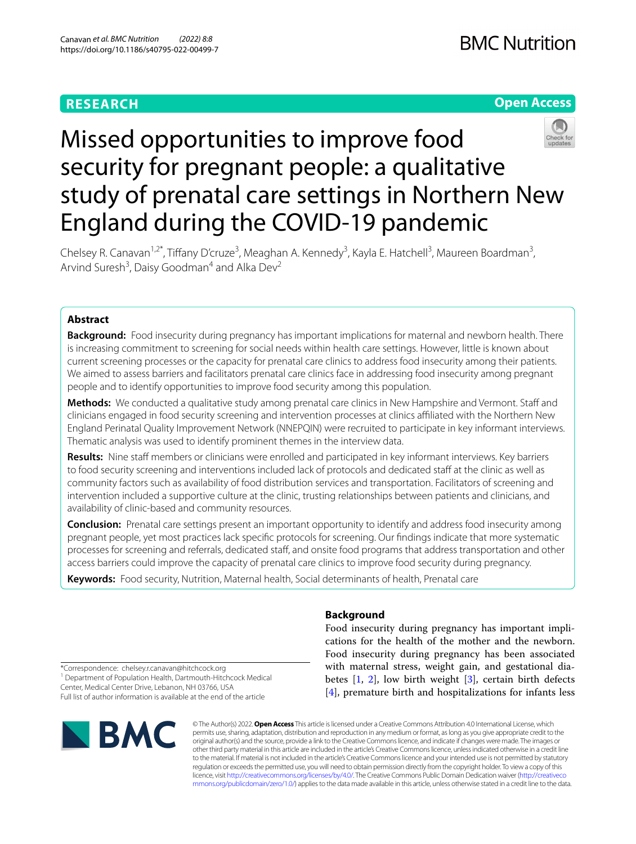# **RESEARCH**





# Missed opportunities to improve food security for pregnant people: a qualitative study of prenatal care settings in Northern New England during the COVID-19 pandemic

Chelsey R. Canavan<sup>1,2\*</sup>, Tiffany D'cruze<sup>3</sup>, Meaghan A. Kennedy<sup>3</sup>, Kayla E. Hatchell<sup>3</sup>, Maureen Boardman<sup>3</sup>, Arvind Suresh<sup>3</sup>, Daisy Goodman<sup>4</sup> and Alka Dev<sup>2</sup>

# **Abstract**

**Background:** Food insecurity during pregnancy has important implications for maternal and newborn health. There is increasing commitment to screening for social needs within health care settings. However, little is known about current screening processes or the capacity for prenatal care clinics to address food insecurity among their patients. We aimed to assess barriers and facilitators prenatal care clinics face in addressing food insecurity among pregnant people and to identify opportunities to improve food security among this population.

Methods: We conducted a qualitative study among prenatal care clinics in New Hampshire and Vermont. Staff and clinicians engaged in food security screening and intervention processes at clinics afliated with the Northern New England Perinatal Quality Improvement Network (NNEPQIN) were recruited to participate in key informant interviews. Thematic analysis was used to identify prominent themes in the interview data.

**Results:** Nine staff members or clinicians were enrolled and participated in key informant interviews. Key barriers to food security screening and interventions included lack of protocols and dedicated staff at the clinic as well as community factors such as availability of food distribution services and transportation. Facilitators of screening and intervention included a supportive culture at the clinic, trusting relationships between patients and clinicians, and availability of clinic-based and community resources.

**Conclusion:** Prenatal care settings present an important opportunity to identify and address food insecurity among pregnant people, yet most practices lack specifc protocols for screening. Our fndings indicate that more systematic processes for screening and referrals, dedicated staf, and onsite food programs that address transportation and other access barriers could improve the capacity of prenatal care clinics to improve food security during pregnancy.

**Keywords:** Food security, Nutrition, Maternal health, Social determinants of health, Prenatal care

# **Background**

Food insecurity during pregnancy has important implications for the health of the mother and the newborn. Food insecurity during pregnancy has been associated with maternal stress, weight gain, and gestational diabetes  $[1, 2]$  $[1, 2]$  $[1, 2]$ , low birth weight  $[3]$  $[3]$ , certain birth defects [[4\]](#page-8-3), premature birth and hospitalizations for infants less

\*Correspondence: chelsey.r.canavan@hitchcock.org <sup>1</sup> Department of Population Health, Dartmouth-Hitchcock Medical Center, Medical Center Drive, Lebanon, NH 03766, USA Full list of author information is available at the end of the article



© The Author(s) 2022. **Open Access** This article is licensed under a Creative Commons Attribution 4.0 International License, which permits use, sharing, adaptation, distribution and reproduction in any medium or format, as long as you give appropriate credit to the original author(s) and the source, provide a link to the Creative Commons licence, and indicate if changes were made. The images or other third party material in this article are included in the article's Creative Commons licence, unless indicated otherwise in a credit line to the material. If material is not included in the article's Creative Commons licence and your intended use is not permitted by statutory regulation or exceeds the permitted use, you will need to obtain permission directly from the copyright holder. To view a copy of this licence, visit [http://creativecommons.org/licenses/by/4.0/.](http://creativecommons.org/licenses/by/4.0/) The Creative Commons Public Domain Dedication waiver ([http://creativeco](http://creativecommons.org/publicdomain/zero/1.0/) [mmons.org/publicdomain/zero/1.0/](http://creativecommons.org/publicdomain/zero/1.0/)) applies to the data made available in this article, unless otherwise stated in a credit line to the data.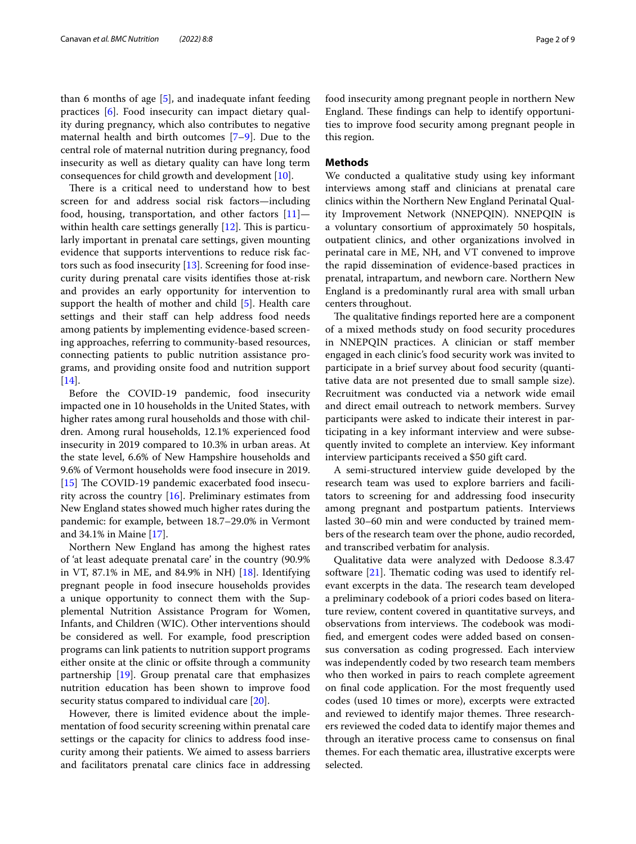than 6 months of age [[5](#page-8-4)], and inadequate infant feeding practices [[6\]](#page-8-5). Food insecurity can impact dietary quality during pregnancy, which also contributes to negative maternal health and birth outcomes [\[7](#page-8-6)[–9\]](#page-8-7). Due to the central role of maternal nutrition during pregnancy, food insecurity as well as dietary quality can have long term consequences for child growth and development [[10\]](#page-8-8).

There is a critical need to understand how to best screen for and address social risk factors—including food, housing, transportation, and other factors  $[11]$  $[11]$ within health care settings generally  $[12]$  $[12]$ . This is particularly important in prenatal care settings, given mounting evidence that supports interventions to reduce risk factors such as food insecurity [\[13](#page-8-11)]. Screening for food insecurity during prenatal care visits identifes those at-risk and provides an early opportunity for intervention to support the health of mother and child [[5](#page-8-4)]. Health care settings and their staff can help address food needs among patients by implementing evidence-based screening approaches, referring to community-based resources, connecting patients to public nutrition assistance programs, and providing onsite food and nutrition support [[14\]](#page-8-12).

Before the COVID-19 pandemic, food insecurity impacted one in 10 households in the United States, with higher rates among rural households and those with children. Among rural households, 12.1% experienced food insecurity in 2019 compared to 10.3% in urban areas. At the state level, 6.6% of New Hampshire households and 9.6% of Vermont households were food insecure in 2019. [[15\]](#page-8-13) The COVID-19 pandemic exacerbated food insecurity across the country [\[16](#page-8-14)]. Preliminary estimates from New England states showed much higher rates during the pandemic: for example, between 18.7–29.0% in Vermont and 34.1% in Maine [\[17](#page-8-15)].

Northern New England has among the highest rates of 'at least adequate prenatal care' in the country (90.9% in VT, 87.1% in ME, and 84.9% in NH) [\[18\]](#page-8-16). Identifying pregnant people in food insecure households provides a unique opportunity to connect them with the Supplemental Nutrition Assistance Program for Women, Infants, and Children (WIC). Other interventions should be considered as well. For example, food prescription programs can link patients to nutrition support programs either onsite at the clinic or offsite through a community partnership [\[19\]](#page-8-17). Group prenatal care that emphasizes nutrition education has been shown to improve food security status compared to individual care [\[20](#page-8-18)].

However, there is limited evidence about the implementation of food security screening within prenatal care settings or the capacity for clinics to address food insecurity among their patients. We aimed to assess barriers and facilitators prenatal care clinics face in addressing food insecurity among pregnant people in northern New England. These findings can help to identify opportunities to improve food security among pregnant people in this region.

# **Methods**

We conducted a qualitative study using key informant interviews among staff and clinicians at prenatal care clinics within the Northern New England Perinatal Quality Improvement Network (NNEPQIN). NNEPQIN is a voluntary consortium of approximately 50 hospitals, outpatient clinics, and other organizations involved in perinatal care in ME, NH, and VT convened to improve the rapid dissemination of evidence-based practices in prenatal, intrapartum, and newborn care. Northern New England is a predominantly rural area with small urban centers throughout.

The qualitative findings reported here are a component of a mixed methods study on food security procedures in NNEPQIN practices. A clinician or staff member engaged in each clinic's food security work was invited to participate in a brief survey about food security (quantitative data are not presented due to small sample size). Recruitment was conducted via a network wide email and direct email outreach to network members. Survey participants were asked to indicate their interest in participating in a key informant interview and were subsequently invited to complete an interview. Key informant interview participants received a \$50 gift card.

A semi-structured interview guide developed by the research team was used to explore barriers and facilitators to screening for and addressing food insecurity among pregnant and postpartum patients. Interviews lasted 30–60 min and were conducted by trained members of the research team over the phone, audio recorded, and transcribed verbatim for analysis.

Qualitative data were analyzed with Dedoose 8.3.47 software  $[21]$ . Thematic coding was used to identify relevant excerpts in the data. The research team developed a preliminary codebook of a priori codes based on literature review, content covered in quantitative surveys, and observations from interviews. The codebook was modifed, and emergent codes were added based on consensus conversation as coding progressed. Each interview was independently coded by two research team members who then worked in pairs to reach complete agreement on fnal code application. For the most frequently used codes (used 10 times or more), excerpts were extracted and reviewed to identify major themes. Three researchers reviewed the coded data to identify major themes and through an iterative process came to consensus on fnal themes. For each thematic area, illustrative excerpts were selected.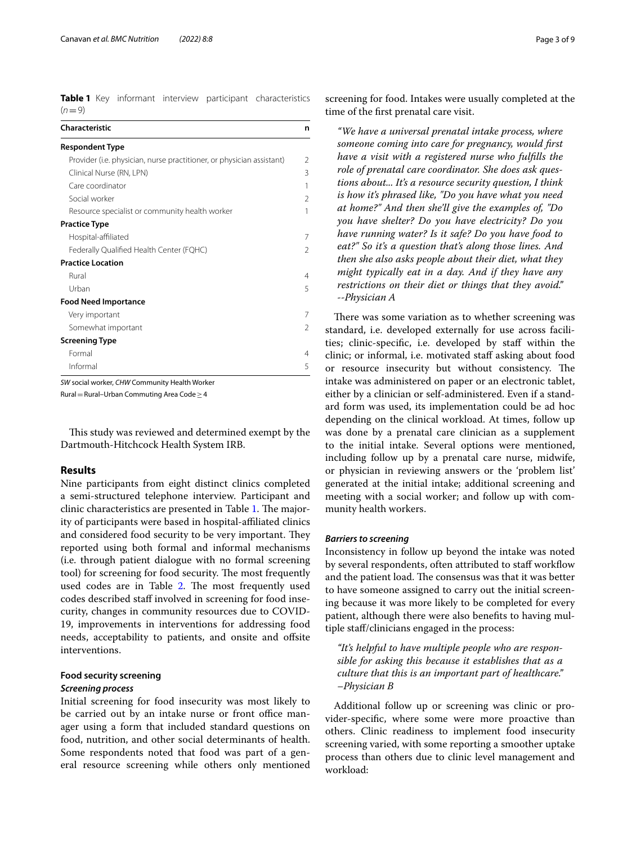<span id="page-2-0"></span>**Table 1** Key informant interview participant characteristics  $(n=9)$ 

| Characteristic                                                        | n              |
|-----------------------------------------------------------------------|----------------|
| <b>Respondent Type</b>                                                |                |
| Provider (i.e. physician, nurse practitioner, or physician assistant) | $\overline{2}$ |
| Clinical Nurse (RN, LPN)                                              | 3              |
| Care coordinator                                                      | 1              |
| Social worker                                                         | $\overline{2}$ |
| Resource specialist or community health worker                        | 1              |
| <b>Practice Type</b>                                                  |                |
| Hospital-affiliated                                                   | 7              |
| Federally Qualified Health Center (FQHC)                              | 2              |
| <b>Practice Location</b>                                              |                |
| Rural                                                                 | $\overline{4}$ |
| Urban                                                                 | 5              |
| <b>Food Need Importance</b>                                           |                |
| Very important                                                        | 7              |
| Somewhat important                                                    | $\overline{2}$ |
| <b>Screening Type</b>                                                 |                |
| Formal                                                                | 4              |
| Informal                                                              | 5              |

*SW* social worker, *CHW* Community Health Worker

Rural=Rural–Urban Commuting Area Code≥4

This study was reviewed and determined exempt by the Dartmouth-Hitchcock Health System IRB.

## **Results**

Nine participants from eight distinct clinics completed a semi-structured telephone interview. Participant and clinic characteristics are presented in Table [1.](#page-2-0) The majority of participants were based in hospital-afliated clinics and considered food security to be very important. They reported using both formal and informal mechanisms (i.e. through patient dialogue with no formal screening tool) for screening for food security. The most frequently used codes are in Table [2.](#page-3-0) The most frequently used codes described staff involved in screening for food insecurity, changes in community resources due to COVID-19, improvements in interventions for addressing food needs, acceptability to patients, and onsite and offsite interventions.

# **Food security screening**

# *Screening process*

Initial screening for food insecurity was most likely to be carried out by an intake nurse or front office manager using a form that included standard questions on food, nutrition, and other social determinants of health. Some respondents noted that food was part of a general resource screening while others only mentioned

screening for food. Intakes were usually completed at the time of the frst prenatal care visit.

*"We have a universal prenatal intake process, where someone coming into care for pregnancy, would frst have a visit with a registered nurse who fulflls the role of prenatal care coordinator. She does ask questions about... It's a resource security question, I think is how it's phrased like, "Do you have what you need at home?" And then she'll give the examples of, "Do you have shelter? Do you have electricity? Do you have running water? Is it safe? Do you have food to eat?" So it's a question that's along those lines. And then she also asks people about their diet, what they might typically eat in a day. And if they have any restrictions on their diet or things that they avoid." --Physician A*

There was some variation as to whether screening was standard, i.e. developed externally for use across facilities; clinic-specific, i.e. developed by staff within the clinic; or informal, i.e. motivated staff asking about food or resource insecurity but without consistency. The intake was administered on paper or an electronic tablet, either by a clinician or self-administered. Even if a standard form was used, its implementation could be ad hoc depending on the clinical workload. At times, follow up was done by a prenatal care clinician as a supplement to the initial intake. Several options were mentioned, including follow up by a prenatal care nurse, midwife, or physician in reviewing answers or the 'problem list' generated at the initial intake; additional screening and meeting with a social worker; and follow up with community health workers.

#### *Barriers to screening*

Inconsistency in follow up beyond the intake was noted by several respondents, often attributed to staff workflow and the patient load. The consensus was that it was better to have someone assigned to carry out the initial screening because it was more likely to be completed for every patient, although there were also benefts to having multiple staf/clinicians engaged in the process:

*"It's helpful to have multiple people who are responsible for asking this because it establishes that as a culture that this is an important part of healthcare." –Physician B*

Additional follow up or screening was clinic or provider-specifc, where some were more proactive than others. Clinic readiness to implement food insecurity screening varied, with some reporting a smoother uptake process than others due to clinic level management and workload: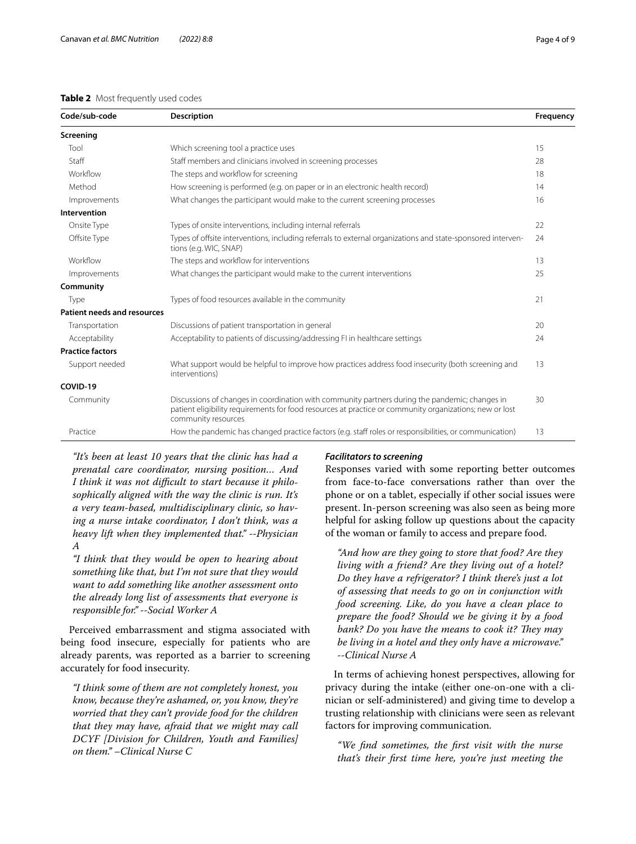# <span id="page-3-0"></span>**Table 2** Most frequently used codes

| Code/sub-code                      | <b>Description</b>                                                                                                                                                                                                               | Frequency |
|------------------------------------|----------------------------------------------------------------------------------------------------------------------------------------------------------------------------------------------------------------------------------|-----------|
| Screening                          |                                                                                                                                                                                                                                  |           |
| Tool                               | Which screening tool a practice uses                                                                                                                                                                                             | 15        |
| Staff                              | Staff members and clinicians involved in screening processes                                                                                                                                                                     | 28        |
| Workflow                           | The steps and workflow for screening                                                                                                                                                                                             | 18        |
| Method                             | How screening is performed (e.g. on paper or in an electronic health record)                                                                                                                                                     | 14        |
| Improvements                       | What changes the participant would make to the current screening processes                                                                                                                                                       | 16        |
| Intervention                       |                                                                                                                                                                                                                                  |           |
| Onsite Type                        | Types of onsite interventions, including internal referrals                                                                                                                                                                      | 22        |
| Offsite Type                       | Types of offsite interventions, including referrals to external organizations and state-sponsored interven-<br>tions (e.g. WIC, SNAP)                                                                                            | 24        |
| Workflow                           | The steps and workflow for interventions                                                                                                                                                                                         | 13        |
| Improvements                       | What changes the participant would make to the current interventions                                                                                                                                                             | 25        |
| Community                          |                                                                                                                                                                                                                                  |           |
| Type                               | Types of food resources available in the community                                                                                                                                                                               | 21        |
| <b>Patient needs and resources</b> |                                                                                                                                                                                                                                  |           |
| Transportation                     | Discussions of patient transportation in general                                                                                                                                                                                 | 20        |
| Acceptability                      | Acceptability to patients of discussing/addressing FI in healthcare settings                                                                                                                                                     | 24        |
| <b>Practice factors</b>            |                                                                                                                                                                                                                                  |           |
| Support needed                     | What support would be helpful to improve how practices address food insecurity (both screening and<br>interventions)                                                                                                             | 13        |
| COVID-19                           |                                                                                                                                                                                                                                  |           |
| Community                          | Discussions of changes in coordination with community partners during the pandemic; changes in<br>patient eligibility requirements for food resources at practice or community organizations; new or lost<br>community resources | 30        |
| Practice                           | How the pandemic has changed practice factors (e.g. staff roles or responsibilities, or communication)                                                                                                                           | 13        |

*"It's been at least 10 years that the clinic has had a prenatal care coordinator, nursing position… And I think it was not difcult to start because it philosophically aligned with the way the clinic is run. It's a very team-based, multidisciplinary clinic, so having a nurse intake coordinator, I don't think, was a heavy lift when they implemented that." --Physician A*

*"I think that they would be open to hearing about something like that, but I'm not sure that they would want to add something like another assessment onto the already long list of assessments that everyone is responsible for." --Social Worker A*

Perceived embarrassment and stigma associated with being food insecure, especially for patients who are already parents, was reported as a barrier to screening accurately for food insecurity.

*"I think some of them are not completely honest, you know, because they're ashamed, or, you know, they're worried that they can't provide food for the children that they may have, afraid that we might may call DCYF [Division for Children, Youth and Families] on them." –Clinical Nurse C*

# *Facilitators to screening*

Responses varied with some reporting better outcomes from face-to-face conversations rather than over the phone or on a tablet, especially if other social issues were present. In-person screening was also seen as being more helpful for asking follow up questions about the capacity of the woman or family to access and prepare food.

*"And how are they going to store that food? Are they living with a friend? Are they living out of a hotel? Do they have a refrigerator? I think there's just a lot of assessing that needs to go on in conjunction with food screening. Like, do you have a clean place to prepare the food? Should we be giving it by a food bank? Do you have the means to cook it? They may be living in a hotel and they only have a microwave." --Clinical Nurse A*

In terms of achieving honest perspectives, allowing for privacy during the intake (either one-on-one with a clinician or self-administered) and giving time to develop a trusting relationship with clinicians were seen as relevant factors for improving communication.

*"We fnd sometimes, the frst visit with the nurse that's their frst time here, you're just meeting the*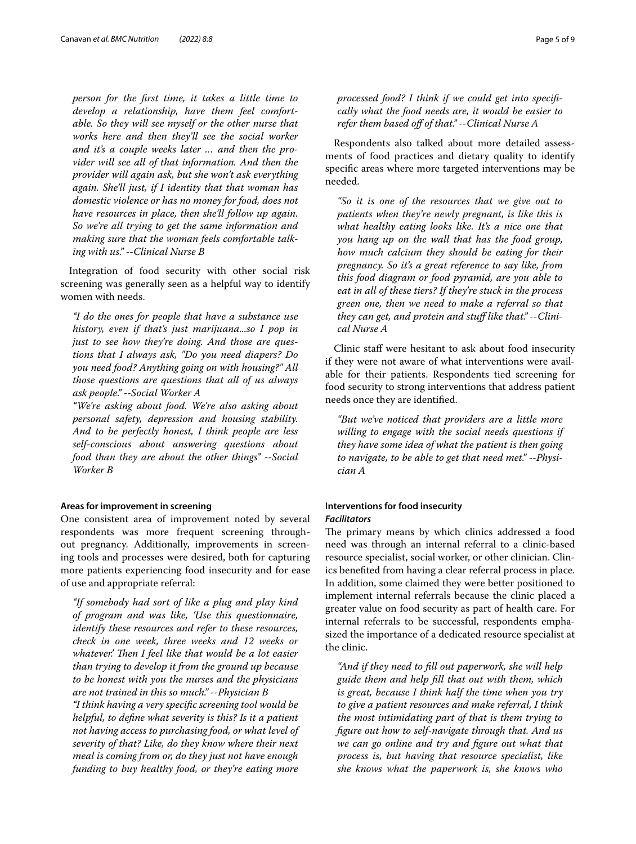*person for the frst time, it takes a little time to develop a relationship, have them feel comfortable. So they will see myself or the other nurse that works here and then they'll see the social worker and it's a couple weeks later … and then the provider will see all of that information. And then the provider will again ask, but she won't ask everything again. She'll just, if I identity that that woman has domestic violence or has no money for food, does not have resources in place, then she'll follow up again. So we're all trying to get the same information and making sure that the woman feels comfortable talking with us." --Clinical Nurse B*

Integration of food security with other social risk screening was generally seen as a helpful way to identify women with needs.

*"I do the ones for people that have a substance use history, even if that's just marijuana...so I pop in just to see how they're doing. And those are questions that I always ask, "Do you need diapers? Do you need food? Anything going on with housing?" All those questions are questions that all of us always ask people." --Social Worker A*

*"We're asking about food. We're also asking about personal safety, depression and housing stability. And to be perfectly honest, I think people are less self-conscious about answering questions about food than they are about the other things" --Social Worker B*

## **Areas for improvement in screening**

One consistent area of improvement noted by several respondents was more frequent screening throughout pregnancy. Additionally, improvements in screening tools and processes were desired, both for capturing more patients experiencing food insecurity and for ease of use and appropriate referral:

*"If somebody had sort of like a plug and play kind of program and was like, 'Use this questionnaire, identify these resources and refer to these resources, check in one week, three weeks and 12 weeks or whatever*.' Then I feel like that would be a lot easier *than trying to develop it from the ground up because to be honest with you the nurses and the physicians are not trained in this so much." --Physician B "I think having a very specifc screening tool would be helpful, to defne what severity is this? Is it a patient not having access to purchasing food, or what level of severity of that? Like, do they know where their next meal is coming from or, do they just not have enough funding to buy healthy food, or they're eating more* 

*processed food? I think if we could get into specifcally what the food needs are, it would be easier to refer them based of of that." --Clinical Nurse A*

Respondents also talked about more detailed assessments of food practices and dietary quality to identify specifc areas where more targeted interventions may be needed.

*"So it is one of the resources that we give out to patients when they're newly pregnant, is like this is what healthy eating looks like. It's a nice one that you hang up on the wall that has the food group, how much calcium they should be eating for their pregnancy. So it's a great reference to say like, from this food diagram or food pyramid, are you able to eat in all of these tiers? If they're stuck in the process green one, then we need to make a referral so that they can get, and protein and stuf like that." --Clinical Nurse A*

Clinic staf were hesitant to ask about food insecurity if they were not aware of what interventions were available for their patients. Respondents tied screening for food security to strong interventions that address patient needs once they are identifed.

*"But we've noticed that providers are a little more willing to engage with the social needs questions if they have some idea of what the patient is then going to navigate, to be able to get that need met." --Physician A*

# **Interventions for food insecurity** *Facilitators*

The primary means by which clinics addressed a food need was through an internal referral to a clinic-based resource specialist, social worker, or other clinician. Clinics benefted from having a clear referral process in place. In addition, some claimed they were better positioned to implement internal referrals because the clinic placed a greater value on food security as part of health care. For internal referrals to be successful, respondents emphasized the importance of a dedicated resource specialist at the clinic.

*"And if they need to fll out paperwork, she will help guide them and help fll that out with them, which is great, because I think half the time when you try to give a patient resources and make referral, I think the most intimidating part of that is them trying to fgure out how to self-navigate through that. And us we can go online and try and fgure out what that process is, but having that resource specialist, like she knows what the paperwork is, she knows who*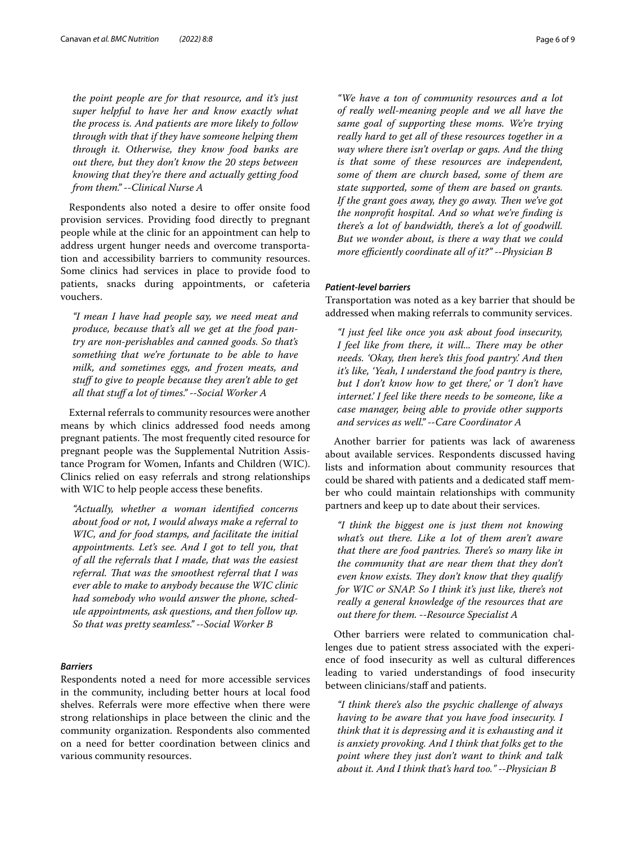*the point people are for that resource, and it's just super helpful to have her and know exactly what the process is. And patients are more likely to follow through with that if they have someone helping them through it. Otherwise, they know food banks are out there, but they don't know the 20 steps between knowing that they're there and actually getting food from them." --Clinical Nurse A*

Respondents also noted a desire to offer onsite food provision services. Providing food directly to pregnant people while at the clinic for an appointment can help to address urgent hunger needs and overcome transportation and accessibility barriers to community resources. Some clinics had services in place to provide food to patients, snacks during appointments, or cafeteria vouchers.

*"I mean I have had people say, we need meat and produce, because that's all we get at the food pantry are non-perishables and canned goods. So that's something that we're fortunate to be able to have milk, and sometimes eggs, and frozen meats, and stuf to give to people because they aren't able to get all that stuf a lot of times." --Social Worker A*

External referrals to community resources were another means by which clinics addressed food needs among pregnant patients. The most frequently cited resource for pregnant people was the Supplemental Nutrition Assistance Program for Women, Infants and Children (WIC). Clinics relied on easy referrals and strong relationships with WIC to help people access these benefts.

*"Actually, whether a woman identifed concerns about food or not, I would always make a referral to WIC, and for food stamps, and facilitate the initial appointments. Let's see. And I got to tell you, that of all the referrals that I made, that was the easiest referral. Tat was the smoothest referral that I was ever able to make to anybody because the WIC clinic had somebody who would answer the phone, schedule appointments, ask questions, and then follow up. So that was pretty seamless." --Social Worker B*

## *Barriers*

Respondents noted a need for more accessible services in the community, including better hours at local food shelves. Referrals were more efective when there were strong relationships in place between the clinic and the community organization. Respondents also commented on a need for better coordination between clinics and various community resources.

*"We have a ton of community resources and a lot of really well-meaning people and we all have the same goal of supporting these moms. We're trying really hard to get all of these resources together in a way where there isn't overlap or gaps. And the thing is that some of these resources are independent, some of them are church based, some of them are state supported, some of them are based on grants.*  If the grant goes away, they go away. Then we've got *the nonproft hospital. And so what we're fnding is there's a lot of bandwidth, there's a lot of goodwill. But we wonder about, is there a way that we could more efciently coordinate all of it?" --Physician B*

# *Patient‑level barriers*

Transportation was noted as a key barrier that should be addressed when making referrals to community services.

*"I just feel like once you ask about food insecurity, I* feel like from there, it will... There may be other *needs. 'Okay, then here's this food pantry.' And then it's like, 'Yeah, I understand the food pantry is there, but I don't know how to get there,' or 'I don't have internet.' I feel like there needs to be someone, like a case manager, being able to provide other supports and services as well." --Care Coordinator A*

Another barrier for patients was lack of awareness about available services. Respondents discussed having lists and information about community resources that could be shared with patients and a dedicated staf member who could maintain relationships with community partners and keep up to date about their services.

*"I think the biggest one is just them not knowing what's out there. Like a lot of them aren't aware that there are food pantries. There's so many like in the community that are near them that they don't even know exists. They don't know that they qualify for WIC or SNAP. So I think it's just like, there's not really a general knowledge of the resources that are out there for them. --Resource Specialist A*

Other barriers were related to communication challenges due to patient stress associated with the experience of food insecurity as well as cultural diferences leading to varied understandings of food insecurity between clinicians/staff and patients.

*"I think there's also the psychic challenge of always having to be aware that you have food insecurity. I think that it is depressing and it is exhausting and it is anxiety provoking. And I think that folks get to the point where they just don't want to think and talk about it. And I think that's hard too." --Physician B*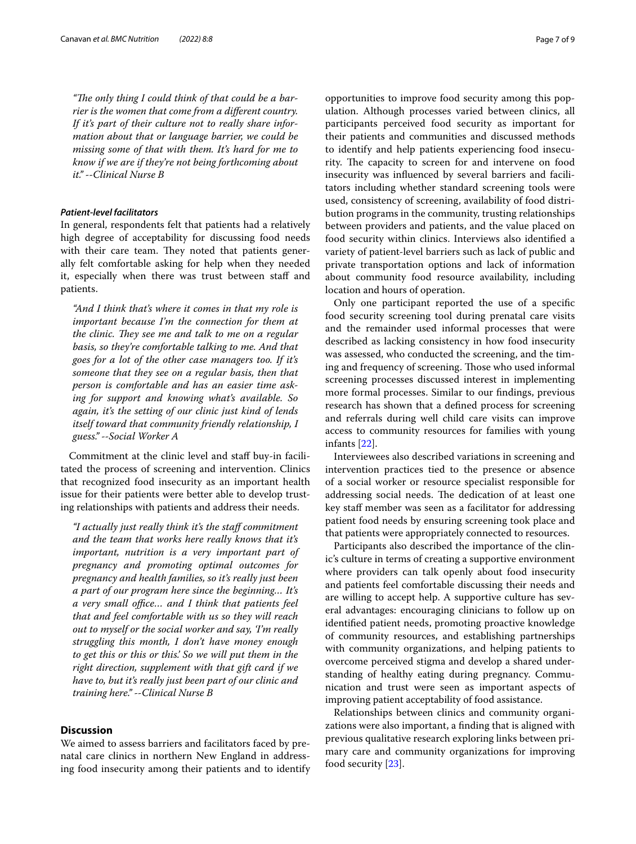"The only thing I could think of that could be a bar*rier is the women that come from a diferent country. If it's part of their culture not to really share information about that or language barrier, we could be missing some of that with them. It's hard for me to know if we are if they're not being forthcoming about it." --Clinical Nurse B*

# *Patient‑level facilitators*

In general, respondents felt that patients had a relatively high degree of acceptability for discussing food needs with their care team. They noted that patients generally felt comfortable asking for help when they needed it, especially when there was trust between staff and patients.

*"And I think that's where it comes in that my role is important because I'm the connection for them at the clinic. They see me and talk to me on a regular basis, so they're comfortable talking to me. And that goes for a lot of the other case managers too. If it's someone that they see on a regular basis, then that person is comfortable and has an easier time asking for support and knowing what's available. So again, it's the setting of our clinic just kind of lends itself toward that community friendly relationship, I guess." --Social Worker A*

Commitment at the clinic level and staff buy-in facilitated the process of screening and intervention. Clinics that recognized food insecurity as an important health issue for their patients were better able to develop trusting relationships with patients and address their needs.

*"I actually just really think it's the staf commitment and the team that works here really knows that it's important, nutrition is a very important part of pregnancy and promoting optimal outcomes for pregnancy and health families, so it's really just been a part of our program here since the beginning… It's a* very small office... and I think that patients feel *that and feel comfortable with us so they will reach out to myself or the social worker and say, 'I'm really struggling this month, I don't have money enough to get this or this or this.' So we will put them in the right direction, supplement with that gift card if we have to, but it's really just been part of our clinic and training here." --Clinical Nurse B*

# **Discussion**

We aimed to assess barriers and facilitators faced by prenatal care clinics in northern New England in addressing food insecurity among their patients and to identify opportunities to improve food security among this population. Although processes varied between clinics, all participants perceived food security as important for their patients and communities and discussed methods to identify and help patients experiencing food insecurity. The capacity to screen for and intervene on food insecurity was infuenced by several barriers and facilitators including whether standard screening tools were used, consistency of screening, availability of food distribution programs in the community, trusting relationships between providers and patients, and the value placed on food security within clinics. Interviews also identifed a variety of patient-level barriers such as lack of public and private transportation options and lack of information about community food resource availability, including location and hours of operation.

Only one participant reported the use of a specifc food security screening tool during prenatal care visits and the remainder used informal processes that were described as lacking consistency in how food insecurity was assessed, who conducted the screening, and the timing and frequency of screening. Those who used informal screening processes discussed interest in implementing more formal processes. Similar to our fndings, previous research has shown that a defned process for screening and referrals during well child care visits can improve access to community resources for families with young infants [\[22](#page-8-20)].

Interviewees also described variations in screening and intervention practices tied to the presence or absence of a social worker or resource specialist responsible for addressing social needs. The dedication of at least one key staff member was seen as a facilitator for addressing patient food needs by ensuring screening took place and that patients were appropriately connected to resources.

Participants also described the importance of the clinic's culture in terms of creating a supportive environment where providers can talk openly about food insecurity and patients feel comfortable discussing their needs and are willing to accept help. A supportive culture has several advantages: encouraging clinicians to follow up on identifed patient needs, promoting proactive knowledge of community resources, and establishing partnerships with community organizations, and helping patients to overcome perceived stigma and develop a shared understanding of healthy eating during pregnancy. Communication and trust were seen as important aspects of improving patient acceptability of food assistance.

Relationships between clinics and community organizations were also important, a fnding that is aligned with previous qualitative research exploring links between primary care and community organizations for improving food security [[23\]](#page-8-21).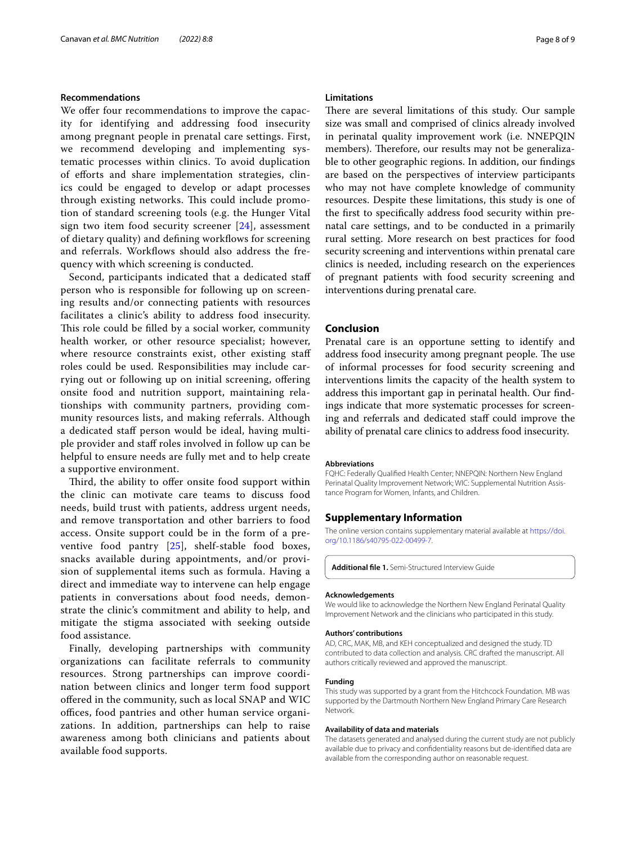#### **Recommendations**

We offer four recommendations to improve the capacity for identifying and addressing food insecurity among pregnant people in prenatal care settings. First, we recommend developing and implementing systematic processes within clinics. To avoid duplication of eforts and share implementation strategies, clinics could be engaged to develop or adapt processes through existing networks. This could include promotion of standard screening tools (e.g. the Hunger Vital sign two item food security screener [[24](#page-8-22)], assessment of dietary quality) and defining workflows for screening and referrals. Workflows should also address the frequency with which screening is conducted.

Second, participants indicated that a dedicated staf person who is responsible for following up on screening results and/or connecting patients with resources facilitates a clinic's ability to address food insecurity. This role could be filled by a social worker, community health worker, or other resource specialist; however, where resource constraints exist, other existing staff roles could be used. Responsibilities may include carrying out or following up on initial screening, offering onsite food and nutrition support, maintaining relationships with community partners, providing community resources lists, and making referrals. Although a dedicated staff person would be ideal, having multiple provider and staf roles involved in follow up can be helpful to ensure needs are fully met and to help create a supportive environment.

Third, the ability to offer onsite food support within the clinic can motivate care teams to discuss food needs, build trust with patients, address urgent needs, and remove transportation and other barriers to food access. Onsite support could be in the form of a preventive food pantry [\[25](#page-8-23)], shelf-stable food boxes, snacks available during appointments, and/or provision of supplemental items such as formula. Having a direct and immediate way to intervene can help engage patients in conversations about food needs, demonstrate the clinic's commitment and ability to help, and mitigate the stigma associated with seeking outside food assistance.

Finally, developing partnerships with community organizations can facilitate referrals to community resources. Strong partnerships can improve coordination between clinics and longer term food support ofered in the community, such as local SNAP and WIC offices, food pantries and other human service organizations. In addition, partnerships can help to raise awareness among both clinicians and patients about available food supports.

## **Limitations**

There are several limitations of this study. Our sample size was small and comprised of clinics already involved in perinatal quality improvement work (i.e. NNEPQIN members). Therefore, our results may not be generalizable to other geographic regions. In addition, our fndings are based on the perspectives of interview participants who may not have complete knowledge of community resources. Despite these limitations, this study is one of the frst to specifcally address food security within prenatal care settings, and to be conducted in a primarily rural setting. More research on best practices for food security screening and interventions within prenatal care clinics is needed, including research on the experiences of pregnant patients with food security screening and interventions during prenatal care.

# **Conclusion**

Prenatal care is an opportune setting to identify and address food insecurity among pregnant people. The use of informal processes for food security screening and interventions limits the capacity of the health system to address this important gap in perinatal health. Our fndings indicate that more systematic processes for screening and referrals and dedicated staf could improve the ability of prenatal care clinics to address food insecurity.

#### **Abbreviations**

FQHC: Federally Qualifed Health Center; NNEPQIN: Northern New England Perinatal Quality Improvement Network; WIC: Supplemental Nutrition Assistance Program for Women, Infants, and Children.

# **Supplementary Information**

The online version contains supplementary material available at [https://doi.](https://doi.org/10.1186/s40795-022-00499-7) [org/10.1186/s40795-022-00499-7](https://doi.org/10.1186/s40795-022-00499-7).

**Additional fle 1.** Semi-Structured Interview Guide

#### **Acknowledgements**

We would like to acknowledge the Northern New England Perinatal Quality Improvement Network and the clinicians who participated in this study.

#### **Authors' contributions**

AD, CRC, MAK, MB, and KEH conceptualized and designed the study. TD contributed to data collection and analysis. CRC drafted the manuscript. All authors critically reviewed and approved the manuscript.

#### **Funding**

This study was supported by a grant from the Hitchcock Foundation. MB was supported by the Dartmouth Northern New England Primary Care Research Network.

#### **Availability of data and materials**

The datasets generated and analysed during the current study are not publicly available due to privacy and confdentiality reasons but de-identifed data are available from the corresponding author on reasonable request.